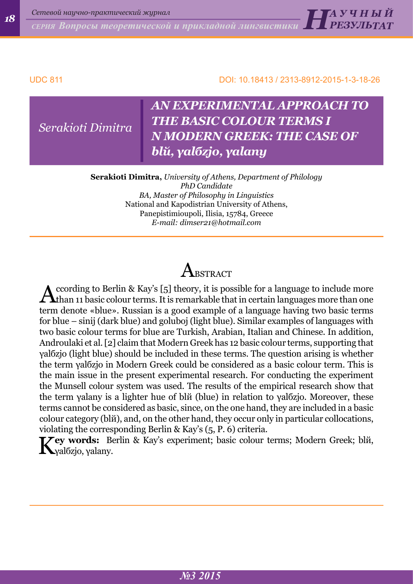*СЕРИЯ Вопросы теоретической и прикладной лингвистики <sup>18</sup> Н А <sup>У</sup> Ч Н Ы Й* 

#### UDC 811 DOI: 10.18413 / 2313-8912-2015-1-3-18-26

*РЕЗУЛЬТАТ*

*Serakioti Dimitra*

## *AN EXPERIMENTAL APPROACH TO THE BASIC COLOUR TERMS I N MODERN GREEK: THE CASE OF blй, γalбzjo, γalanу*

**Serakioti Dimitra,** *University of Athens, Department of Philology PhD Candidate BA, Master of Philosophy in Linguistics* National and Kapodistrian University of Athens, Panepistimioupoli, Ilisia, 15784, Greece *E-mail: dimser21@hotmail.com*

# $\bm{\mathsf{A}}$  bstract

According to Berlin & Kay's [5] theory, it is possible for a language to include more<br>than 11 basic colour terms. It is remarkable that in certain languages more than one term denote «blue». Russian is a good example of a language having two basic terms for blue – sinij (dark blue) and goluboj (light blue). Similar examples of languages with two basic colour terms for blue are Turkish, Arabian, Italian and Chinese. In addition, Androulaki et al. [2] claim that Modern Greek has 12 basic colour terms, supporting that γalбzjo (light blue) should be included in these terms. The question arising is whether the term γalбzjo in Modern Greek could be considered as a basic colour term. This is the main issue in the present experimental research. For conducting the experiment the Munsell colour system was used. The results of the empirical research show that the term γalanу is a lighter hue of blй (blue) in relation to γalбzjo. Moreover, these terms cannot be considered as basic, since, on the one hand, they are included in a basic colour category (blй), and, on the other hand, they occur only in particular collocations, violating the corresponding Berlin & Kay's (5, P. 6) criteria.

K**ey words:** Berlin & Kay's experiment; basic colour terms; Modern Greek; blй,  $\mathbf{I}$  γal $\delta$ zjo, γalany.

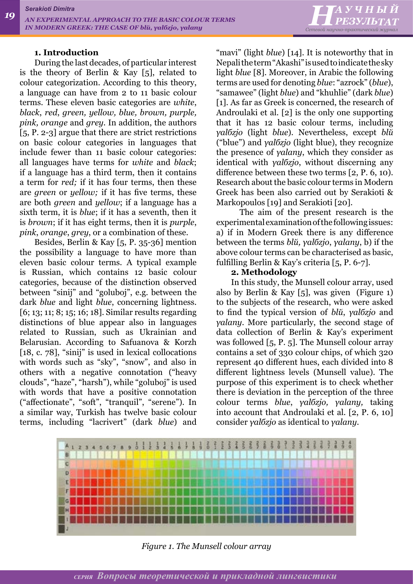

#### **1. Introduction**

During the last decades, of particular interest is the theory of Berlin & Kay [5], related to colour categorization. According to this theory, a language can have from 2 to 11 basic colour terms. These eleven basic categories are *white*, *black*, *red*, *green, yellow, blue, brown, purple, pink, orange* and *grey.* In addition, the authors [5, P. 2-3] argue that there are strict restrictions on basic colour categories in languages that include fewer than 11 basic colour categories: all languages have terms for *white* and *black*; if a language has a third term, then it contains a term for *red;* if it has four terms, then these are *green* or *yellow;* if it has five terms, these are both *green* and *yellow*; if a language has a sixth term, it is *blue*; if it has a seventh, then it is *brown*; if it has eight terms, then it is *purple*, *pink*, *orange*, *grey*, or a combination of these.

Besides, Berlin & Kay [5, P. 35-36] mention the possibility a language to have more than eleven basic colour terms. A typical example is Russian, which contains 12 basic colour categories, because of the distinction observed between "sinij" and "goluboj", e.g. between the dark *blue* and light *blue*, concerning lightness. [6; 13; 11; 8; 15; 16; 18]. Similar results regarding distinctions of blue appear also in languages related to Russian, such as Ukrainian and Belarusian. According to Safuanova & Korzh [18, c. 78], "sinij" is used in lexical collocations with words such as "sky", "snow", and also in others with a negative connotation ("heavy clouds", "haze", "harsh"), while "goluboj" is used with words that have a positive connotation ("affectionate", "soft", "tranquil", "serene"). In a similar way, Turkish has twelve basic colour terms, including "lacrivert" (dark *blue*) and "mavi" (light *blue*) [14]. It is noteworthy that in Nepali the term "Akashi" is used to indicate the sky light *blue* [8]. Moreover, in Arabic the following terms are used for denoting *blue*: "azrock" (*blue*), "samawee" (light *blue*) and "khuhlie" (dark *blue*) [1]. As far as Greek is concerned, the research of Androulaki et al. [2] is the only one supporting that it has 12 basic colour terms, including *γalбzjo* (light *blue*). Nevertheless, except *blй* ("blue") and *γalбzjo* (light blue), they recognize the presence of *γalanу*, which they consider as identical with *γalбzjo*, without discerning any difference between these two terms [2, P. 6, 10). Research about the basic colour terms in Modern Greek has been also carried out by Serakioti & Markopoulos [19] and Serakioti [20].

 The aim of the present research is the experimental examination of the following issues: a) if in Modern Greek there is any difference between the terms *blй, γalбzjo*, *γalanу*, b) if the above colour terms can be characterised as basic, fulfilling Berlin & Kay's criteria [5, P. 6-7].

#### **2. Methodology**

In this study, the Munsell colour array, used also by Berlin & Kay [5], was given (Figure 1) to the subjects of the research, who were asked to find the typical version of *blй*, *γalбzjo* and *γalanу*. More particularly, the second stage of data collection of Berlin & Kay's experiment was followed [5, P. 5]. The Munsell colour array contains a set of 330 colour chips, of which 320 represent 40 different hues, each divided into 8 different lightness levels (Munsell value). The purpose of this experiment is to check whether there is deviation in the perception of the three colour terms *blue*, *γalбzjo, γalanу,* taking into account that Androulaki et al. [2, P. 6, 10] consider *γalбzjo* as identical to *γalanу.* 



*Figure 1. The Munsell colour array*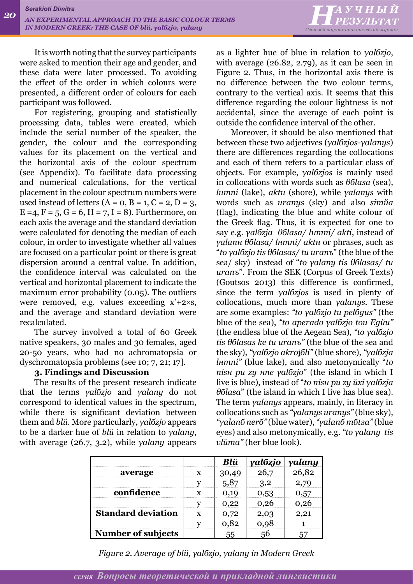

It is worth noting that the survey participants were asked to mention their age and gender, and these data were later processed. To avoiding the effect of the order in which colours were presented, a different order of colours for each participant was followed.

For registering, grouping and statistically processing data, tables were created, which include the serial number of the speaker, the gender, the colour and the corresponding values for its placement on the vertical and the horizontal axis of the colour spectrum (see Appendix). To facilitate data processing and numerical calculations, for the vertical placement in the colour spectrum numbers were used instead of letters  $(A = 0, B = 1, C = 2, D = 3,$  $E = 4, F = 5, G = 6, H = 7, I = 8$ . Furthermore, on each axis the average and the standard deviation were calculated for denoting the median of each colour, in order to investigate whether all values are focused on a particular point or there is great dispersion around a central value. In addition, the confidence interval was calculated on the vertical and horizontal placement to indicate the maximum error probability (0.05). The outliers were removed, e.g. values exceeding  $x'+2\times s$ , and the average and standard deviation were recalculated.

The survey involved a total of 60 Greek native speakers, 30 males and 30 females, aged 20-50 years, who had no achromatopsia or dyschromatopsia problems (see 10; 7, 21; 17].

#### **3. Findings and Discussion**

The results of the present research indicate that the terms *γalбzjo* and *γalanу* do not correspond to identical values in the spectrum, while there is significant deviation between them and *blй*. More particularly, *γalбzjo* appears to be a darker hue of *blй* in relation to *γalanу*, with average (26.7, 3.2), while *γalanу* appears

as a lighter hue of blue in relation to *γalбzjo*, with average (26.82, 2.79), as it can be seen in Figure 2. Thus, in the horizontal axis there is no difference between the two colour terms, contrary to the vertical axis. It seems that this difference regarding the colour lightness is not accidental, since the average of each point is outside the confidence interval of the other.

Moreover, it should be also mentioned that between these two adjectives (*γalбzjos-γalanуs*) there are differences regarding the collocations and each of them refers to a particular class of objects. For example, *γalбzjos* is mainly used in collocations with words such as *θбlasa* (sea), *lнmni* (lake), *aktн* (shore), while *γalanуs* with words such as *uranуs* (sky) and also *simйa*  (flag), indicating the blue and white colour of the Greek flag. Thus, it is expected for one to say e.g. *γalбzja θбlasa/ lнmni/ akti*, instead of *γalanн θбlasa/ lнmni/ aktн* or phrases, such as "*to γalбzjo tis θбlasas/ tu uranъ*" (the blue of the sea/ sky) instead of "*to γalanу tis θбlasas/ tu uranъ*". From the SEK (Corpus of Greek Texts) (Goutsos 2013) this difference is confirmed, since the term *γalбzjos* is used in plenty of collocations, much more than *γalanуs*. These are some examples: *"to γalбzjo tu pelбgus"* (the blue of the sea), *"to aperado γalбzjo tou Egйu"* (the endless blue of the Aegean Sea), *"to γalбzjo tis θбlasas ke tu uranъ"* (the blue of the sea and the sky), *"γalбzjo akro*ʝ*бli"* (blue shore), *"γalбzja lнmni"* (blue lake), and also metonymically "*to nisн pu zу нne γalбzjo*" (the island in which I live is blue), instead of "*to nisн pu zу йxi γalбzja θбlasa*" (the island in which I live has blue sea). The term *γalanуs* appears, mainly, in literacy in collocations such as *"γalanуs uranуs"* (blue sky), *"γalanб nerб"* (blue water), *"γalanб mбtзa"* (blue eyes) and also metonymically, e.g. *"to γalanу tis vlйma"* (her blue look).

|                           |   | Blŭ   | yalózjo | yalany |
|---------------------------|---|-------|---------|--------|
| average                   | x | 30,49 | 26,7    | 26,82  |
|                           |   | 5,87  | 3,2     | 2,79   |
| confidence                | x | 0,19  | 0,53    | 0,57   |
|                           |   | 0,22  | 0,26    | 0,26   |
| <b>Standard deviation</b> | x | 0,72  | 2,03    | 2,21   |
|                           |   | 0,82  | 0,98    |        |
| Number of subjects        |   | 55    | 56      |        |

*Figure 2. Average of blй, γalбzjo, γalanу in Modern Greek*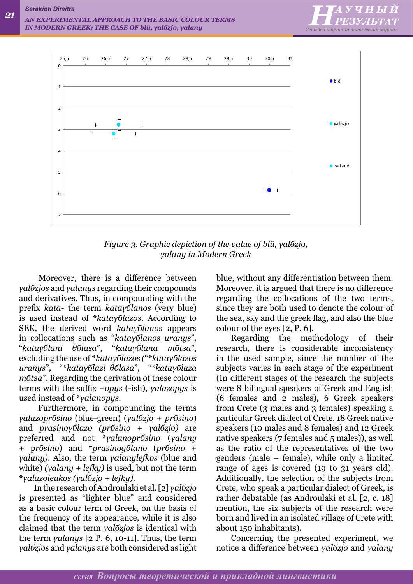



*Figure 3. Graphic depiction of the value of blй, γalбzjo, γalanу in Modern Greek*

 Moreover, there is a difference between *γalбzjos* and *γalanуs* regarding their compounds and derivatives. Thus, in compounding with the prefix *kata-* the term *kataγбlanos* (very blue) is used instead of \**kataγбlazos*. According to SEK, the derived word *kataγбlanos* appears in collocations such as "*kataγбlanos uranуs*", "*kataγбlani θбlasa*", "*kataγбlana mбtзa*", excluding the use of \**kataγбlazos (*"\**kataγбlazos uranуs*"*,* "\**kataγбlazi θбlasa*"*,* "\**kataγбlaza mбtзa*"*.* Regarding the derivation of these colour terms with the suffix *–opуs* (-ish), *γalazopуs* is used instead of \**γalanopуs*.

 Furthermore, in compounding the terms *γalazoprбsino* (blue-green) (*γalбzjo* + *prбsino*) and *prasinoγбlazo (prбsino + γalбzjo)* are preferred and not \**γalanoprбsino* (*γalanу*  + p*rбsino*) and \**prasinogбlano* (*prбsino* + *γalanу)*. Also, the term *γαlαnуlefkos* (blue and white) *(γalanу + lefkу)* is used, but not the term \**γαlazoleukos (γalбzjo + lefkу).*

In the research of Androulaki et al. [2] *γalбzjo* is presented as "lighter blue" and considered as a basic colour term of Greek, on the basis of the frequency of its appearance, while it is also claimed that the term *γalбzjos* is identical with the term *γalanуs* [2 P. 6, 10-11]. Thus, the term *γalбzjos* and *γalanуs* are both considered as light blue, without any differentiation between them. Moreover, it is argued that there is no difference regarding the collocations of the two terms, since they are both used to denote the colour of the sea, sky and the greek flag, and also the blue colour of the eyes [2, P. 6].

Regarding the methodology of their research, there is considerable inconsistency in the used sample, since the number of the subjects varies in each stage of the experiment (In different stages of the research the subjects were 8 bilingual speakers of Greek and English (6 females and 2 males), 6 Greek speakers from Crete (3 males and 3 females) speaking a particular Greek dialect of Crete, 18 Greek native speakers (10 males and 8 females) and 12 Greek native speakers (7 females and 5 males)), as well as the ratio of the representatives of the two genders (male – female), while only a limited range of ages is covered (19 to 31 years old). Additionally, the selection of the subjects from Crete, who speak a particular dialect of Greek, is rather debatable (as Androulaki et al. [2, c. 18] mention, the six subjects of the research were born and lived in an isolated village of Crete with about 150 inhabitants).

Concerning the presented experiment, we notice a difference between *γalбzjo* and *γalanу*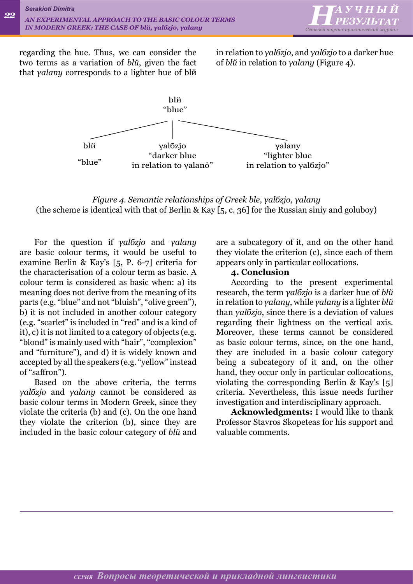

regarding the hue. Thus, we can consider the two terms as a variation of *blй*, given the fact that *γalanу* corresponds to a lighter hue of blй

in relation to *γalбzjo*, and *γalбzjo* to a darker hue of *blй* in relation to *γalanу* (Figure 4).



*Figure 4. Semantic relationships of Greek ble, γalбzjo, γalanу* (the scheme is identical with that of Berlin & Kay [5, c. 36] for the Russian siniy and goluboy)

For the question if *γalбzjo* and *γalanу*  are basic colour terms, it would be useful to examine Berlin & Kay's [5, P. 6-7] criteria for the characterisation of a colour term as basic. A colour term is considered as basic when: a) its meaning does not derive from the meaning of its parts (e.g. "blue" and not "bluish", "olive green"), b) it is not included in another colour category (e.g. "scarlet" is included in "red" and is a kind of it), c) it is not limited to a category of objects (e.g. "blond" is mainly used with "hair", "complexion" and "furniture"), and d) it is widely known and accepted by all the speakers (e.g. "yellow" instead of "saffron").

Based on the above criteria, the terms *γalбzjo* and *γalanу* cannot be considered as basic colour terms in Modern Greek, since they violate the criteria (b) and (c). On the one hand they violate the criterion (b), since they are included in the basic colour category of *blй* and are a subcategory of it, and on the other hand they violate the criterion (c), since each of them appears only in particular collocations.

### **4. Conclusion**

According to the present experimental research, the term *γalбzjo* is a darker hue of *blй*  in relation to *γalanу*, while *γalanу* is a lighter *blй*  than *γalбzjo*, since there is a deviation of values regarding their lightness on the vertical axis*.* Moreover, these terms cannot be considered as basic colour terms, since, on the one hand, they are included in a basic colour category being a subcategory of it and, on the other hand, they occur only in particular collocations, violating the corresponding Berlin & Kay's [5] criteria. Nevertheless, this issue needs further investigation and interdisciplinary approach.

**Acknowledgments:** I would like to thank Professor Stavros Skopeteas for his support and valuable comments.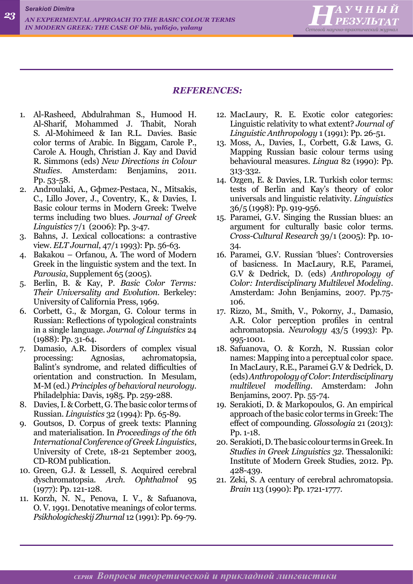*Serakioti Dimitra*



#### *REFERENCES:*

- 1. Al-Rasheed, Abdulrahman S., Humood H. Al-Sharif, Mohammed J. Thabit, Norah S. Al-Mohimeed & Ian R.L. Davies. Basic color terms of Arabic. In Biggam, Carole P., Carole A. Hough, Christian J. Kay and David R. Simmons (eds) *[New Directions in Colour](http://benjamins.com/cgi-bin/t_bookview.cgi?bookid=Z 167) [Studies](http://benjamins.com/cgi-bin/t_bookview.cgi?bookid=Z 167)*. Amsterdam: Benjamins, 2011. Pp. 53-58.
- 2. Androulaki, A., Gфmez-Pestaсa, N., Mitsakis, C., Lillo Jover, J., Coventry, K., & Davies, I. Basic colour terms in Modern Greek: Twelve terms including two blues. *Journal of Greek Linguistics* 7/1 (2006): Pp. 3-47.
- 3. Bahns, J. Lexical collocations: a contrastive view. *ELT Journal*, 47/1 1993): Pp. 56-63.
- 4. Bakakou Orfanou, A. The word of Modern Greek in the linguistic system and the text. In *Parousia*, Supplement 65 (2005).
- 5. Berlin, B. & Kay, P. *Basic Color Terms: Their Universality and Evolution.* Berkeley: University of California Press, 1969.
- 6. Corbett, G., & Morgan, G. Colour terms in Russian: Reflections of typological constraints in a single language. *Journal of Linguistics* 24 (1988): Pp. 31-64.
- 7. Damasio, A.R. Disorders of complex visual processing: Agnosias, achromatopsia, Balint's syndrome, and related difficulties of orientation and construction. In Mesulam, M-M (ed.) *Principles of behavioral neurology*. Philadelphia: Davis, 1985. Pp. 259-288.
- 8. Davies, I. & Corbett, G. The basic color terms of Russian. *Linguistics* 32 (1994): Pp. 65-89.
- 9. Goutsos, D. Corpus of greek texts: Planning and materialisation. In *Proceedings of the 6th International Conference of Greek Linguistics*, University of Crete, 18-21 September 2003, CD-ROM publication.
- 10. Green, G.J. & Lessell, S. Acquired cerebral dyschromatopsia. *Arch. Ophthalmol* 95 (1977): Pp. 121-128.
- 11. Korzh, N. N., Penova, I. V., & Safuanova, O. V. 1991. Denotative meanings of color terms. *Psikhologicheskij Zhurnal* 12 (1991): Pp. 69-79.
- 12. MacLaury, R. E. Exotic color categories: Linguistic relativity to what extent? *Journal of Linguistic Anthropology* 1 (1991): Pp. 26-51.
- 13. Moss, A., Davies, I., Corbett, G.& Laws, G. Mapping Russian basic colour terms using behavioural measures. *Lingua* 82 (1990): Pp. 313-332.
- 14. Ozgen, E. & Davies, I.R. Turkish color terms: tests of Berlin and Kay's theory of color universals and linguistic relativity. *Linguistics* 36/5 (1998): Pp. 919-956.
- 15. Paramei, G.V. Singing the Russian blues: an argument for culturally basic color terms. *Cross-Cultural Research* 39/1 (2005): Pp. 10- 34.
- 16. Paramei, G.V. Russian 'blues': Controversies of basicness. In MacLaury, R.E, Paramei, G.V & Dedrick, D. (eds) *Anthropology of Color: Interdisciplinary Multilevel Modeling*. Amsterdam: John Benjamins, 2007. Pp.75- 106.
- 17. Rizzo, M., Smith, V., Pokorny, J., Damasio, A.R. Color perception profiles in central achromatopsia. *Neurology* 43/5 (1993): Pp. 995-1001.
- 18. Safuanova, O. & Korzh, N. Russian color names: Mapping into a perceptual color space. In MacLaury, R.E., Paramei G.V & Dedrick, D. (eds) *Anthropology of Color*: *Interdisciplinary multilevel modelling*. Amsterdam: John Benjamins, 2007. Pp. 55-74.
- 19. Serakioti, D. & Markopoulos, G. An empirical approach of the basic color terms in Greek: The effect of compounding. *Glossologia* 21 (2013): Pp. 1-18.
- 20. Serakioti, D. The basic colour terms in Greek. In *Studies in Greek Linguistics 32.* Thessaloniki: Institute of Modern Greek Studies, 2012. Pp. 428-439.
- 21. Zeki, S. A century of cerebral achromatopsia. *Brain* 113 (1990): Pp. 1721-1777.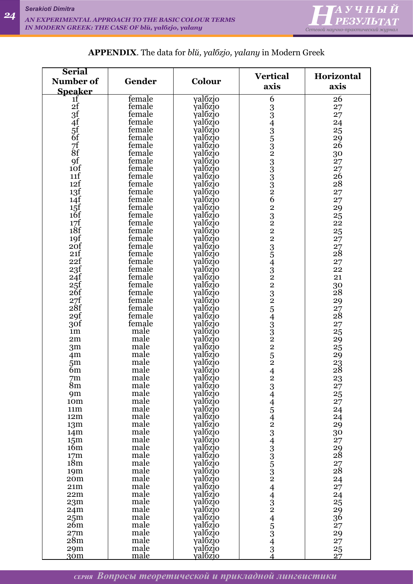

| <b>Serial</b>                   |                  |                                |                                     |                       |
|---------------------------------|------------------|--------------------------------|-------------------------------------|-----------------------|
| Number of                       | Gender           | Colour                         | <b>Vertical</b>                     | Horizontal            |
|                                 |                  |                                | axis                                | axis                  |
| <b>Speaker</b>                  |                  |                                |                                     |                       |
| 1f<br>2f                        | female<br>female | γalózjo                        | 6                                   | 26                    |
|                                 | female           | γalõzjo<br>valõzjo             |                                     | 27                    |
|                                 | female           |                                |                                     | 27                    |
|                                 | female           | γalбzjo                        |                                     | 24                    |
|                                 | female           | γalбzjo                        |                                     | 25                    |
|                                 | female           | γal <sub>ozjo</sub><br>yalózjo |                                     | 29<br>26              |
| 3f<br>4f<br>5f<br>7f<br>7f      | female           | yalózjo                        |                                     | 30                    |
|                                 | female           | γal <i>b</i> zjo               |                                     | 27                    |
| $\overline{9f}$ <sub>10</sub> f | female           | γal <i>b</i> zjo               |                                     | 27                    |
| 11f                             | female           | γalбzjo                        |                                     | 26                    |
| 12f                             | female           | γalõzjo                        |                                     | 28                    |
| 13f                             | female           | γalozjo                        |                                     | 27                    |
| 14f                             | female           | γalozjo                        |                                     | 27                    |
|                                 | female           | γalozjo                        |                                     | 29                    |
| $\frac{15}{16}$                 | female           | γal <i>b</i> zjo               |                                     | 25                    |
| $\frac{17f}{18f}$               | female           | γalбzjo                        |                                     | $2\overline{2}$       |
|                                 | female           | γalбzjo                        |                                     | 25                    |
| 19f                             | female           | yalozjo                        |                                     | 27                    |
| 20f                             | female           | γalбzjo                        |                                     |                       |
| 21f                             | female           | γal <i>b</i> zjo               |                                     | $\substack{27 \\ 28}$ |
| 22f                             | female           | yalozjo                        |                                     | 27                    |
| 23f                             | female           | γal <i>b</i> zjo               |                                     | 22                    |
| 24f                             | female           | γal <i>b</i> zjo               |                                     | 21                    |
| $25f$<br>$26f$                  | female           | γalбzjo                        |                                     | 30                    |
|                                 | female           | γalõzjo                        |                                     | $\overline{2}8$       |
| $\substack{27f\\28f}$           | female           | γalбzjo                        |                                     | 29                    |
|                                 | female           | γalozjo                        |                                     | $\substack{27 \\ 28}$ |
| 29f                             | female           | γalozjo                        |                                     |                       |
| 3of                             | female           | γal <i>b</i> zjo               |                                     | 27                    |
| 1 <sub>m</sub>                  | male             | γalбzjo                        | 33435323333326232223543225433225252 | 25                    |
| 2m                              | male<br>male     | γalбzjo                        |                                     | 29                    |
| 3 <sub>m</sub>                  | male             | yalozjo<br>yalozjo             |                                     | 25                    |
| 4 <sub>m</sub>                  | male             | γalбzjo                        |                                     | 29                    |
| 5 <sub>m</sub><br>6m            | male             | yalózjo                        | $\overline{4}$                      | $\frac{23}{28}$       |
| 7 <sub>m</sub>                  | male             |                                |                                     | 23                    |
| 8m                              | male             | γalõzjo<br>valõzjo<br>valõzjo  |                                     | 27                    |
| 9m                              | male             |                                |                                     | 25                    |
| 10m                             | male             | valózjo                        |                                     | 27                    |
| 11 <sub>m</sub>                 | male             | γalozjo                        |                                     | 24                    |
| 12m                             | male             | γalózjo                        |                                     | 24                    |
| 13m                             | male             | γalózjo                        |                                     | 29                    |
| 14m                             | male             | γalózjo                        |                                     | 30                    |
| 15 <sub>m</sub>                 | male             | γal <sub>ozjo</sub>            |                                     | $\frac{27}{29}$<br>28 |
| 16m                             | male             | valózjo                        |                                     |                       |
| 17m                             | male             | valózjo                        |                                     |                       |
| 18 <sub>m</sub>                 | male             | γal <sub>ozjo</sub>            |                                     | $\substack{27 \\ 28}$ |
| 19m                             | male             | γalózjo                        |                                     |                       |
| 20 <sub>m</sub>                 | male             | γal <sub>ozjo</sub>            |                                     | 24                    |
| 21m                             | male             | γal <sub>ozjo</sub>            |                                     | 27                    |
| 22m                             | male             | γal <sub>ozjo</sub>            |                                     | $\frac{24}{25}$       |
| 23m                             | male             | γalózjo                        |                                     |                       |
| 24m                             | male             | valózjo                        |                                     | 29                    |
| 25 <sub>m</sub>                 | male             | γalozjo                        |                                     | 36                    |
| 26m                             | male<br>male     | γalõzjo                        |                                     | 27                    |
| 27m<br>28m                      | male             | γalózjo<br>γalózjo             |                                     | 29                    |
| 29m                             | male             | γal <sub>ozjo</sub>            |                                     | 27<br>25              |
| 30 <sub>m</sub>                 | male             | <u>valozjo</u>                 | 234454234335324432453434            | 27                    |

### **APPENDIX**. The data for *blй, γalбzjo, γalanу* in Modern Greek

*СЕРИЯ Вопросы теоретической и прикладной лингвистики*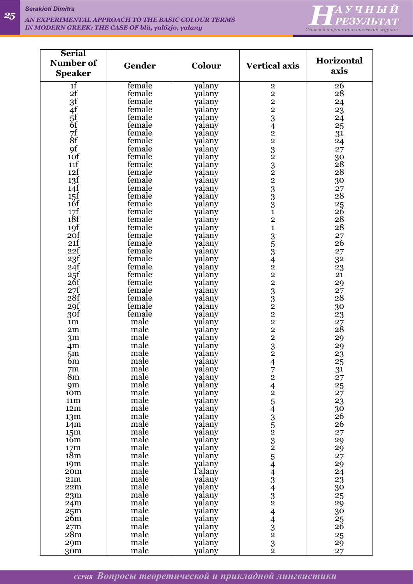

| <b>Serial</b>          |                  |                         |                                            |                   |
|------------------------|------------------|-------------------------|--------------------------------------------|-------------------|
| Number of              | Gender           | Colour                  | <b>Vertical axis</b>                       | Horizontal        |
| <b>Speaker</b>         |                  |                         |                                            | axis              |
| 1 <sup>f</sup>         | female           | γalany                  |                                            | 26                |
| 2f                     | female           | yalany                  | $\frac{2}{2}$                              | 28                |
|                        | female           | yalany                  | $\frac{2}{2}$                              | 24                |
|                        | female           | yalany                  |                                            | 23                |
|                        | female           | yalany                  |                                            | 24                |
|                        | female           | yalany                  |                                            | 25                |
| 3f 4f 5f 6f 7f 8f      | female           | yalany                  |                                            | 31                |
| 9f                     | female<br>female | yalany<br>yalany        | 3422323223331                              | 24                |
| 10f                    | female           | yalany                  |                                            | 27<br>30          |
| 11f                    | female           | yalany                  |                                            | $\overline{28}$   |
| 12f                    | female           | yalany                  |                                            | 28                |
| 13f                    | female           | γalany                  |                                            | 30                |
| 14f                    | female           | yalany                  |                                            | 27                |
| 15f                    | female           | yalany                  |                                            | $2\overset{.}{8}$ |
| $1\delta f$            | female           | yalany                  |                                            | 25                |
| 17f                    | female           | yalany                  |                                            | 26                |
| 18f<br>19f             | female<br>female | yalany                  | $\overline{2}$<br>$\mathbf{1}$             | 28<br>28          |
| 20f                    | female           | γalany<br>yalany        |                                            | 27                |
| 21f                    | female           | γalany                  |                                            | 26                |
| 22f                    | female           | γalany                  |                                            | 27                |
| 23f                    | female           | yalany                  |                                            | 32                |
| 24f                    | female           | yalany                  |                                            | 23                |
| $25f$<br>$26f$         | female           | γalany                  |                                            | 21                |
|                        | female           | yalany                  |                                            | 29                |
| 27f                    | female           | yalany                  | 353422333222                               | 27                |
| 28f                    | female           | yalany                  |                                            | $2\overset{.}{8}$ |
| 29f                    | female<br>female | γalany                  |                                            | 30                |
| 30f<br>1 <sub>m</sub>  | male             | γalany<br>γalany        |                                            | 23<br>27          |
| 2m                     | male             | yalany                  |                                            | $2\overset{'}{8}$ |
| 3 <sub>m</sub>         | male             | γalany                  |                                            | 29                |
| 4m                     | male             | γalany                  | $\begin{array}{c} 2 \\ 2 \\ 3 \end{array}$ | 29                |
| 5 <sub>m</sub>         | male             | γalany                  |                                            | 23                |
| 6m                     | male             | γalany                  |                                            | 25                |
| 7m                     | male             | γalany                  |                                            | $\frac{31}{27}$   |
| 8 <sub>m</sub>         | male             | yalany                  |                                            |                   |
| 9m<br>10 <sub>m</sub>  | male<br>male     | yalany<br>yalany        |                                            | 25                |
| 11 <sub>m</sub>        | male             | yalany                  |                                            | 27<br>23          |
| 12m                    | male             | yalany                  |                                            | 30                |
| 13 <sub>m</sub>        | male             | yalany                  |                                            | $\overline{26}$   |
| 14 <sub>m</sub>        | male             | γalany                  |                                            | 26                |
| 15 <sub>m</sub>        | male             | γalany                  |                                            | 27                |
| 16m                    | male             | γalany                  |                                            | 29                |
| 17 <sub>m</sub>        | male             | γalany                  |                                            | 29                |
| 18m                    | male<br>male     | yalany                  |                                            | 27                |
| 19m<br>20 <sub>m</sub> | male             | yalany<br><b>Talany</b> |                                            | 29<br>24          |
| 21m                    | male             | γalany                  |                                            | 23                |
| 22m                    | male             | yalany                  | 4724254352325443432443232                  | 30                |
| 23m                    | male             | γalany                  |                                            | 25                |
| 24m                    | male             | γalany                  |                                            | 29                |
| 25 <sub>m</sub>        | male             | γalany                  |                                            | 30                |
| 26m                    | male             | γalany                  |                                            | 25                |
| 27m                    | male             | γalany                  |                                            | $2\bar{6}$        |
| 28m                    | male             | γalany                  |                                            | 25                |
| 29m                    | male             | γalany                  |                                            | 29                |
| 30 <sub>m</sub>        | male             | yalany                  |                                            | 27                |

*СЕРИЯ Вопросы теоретической и прикладной лингвистики*